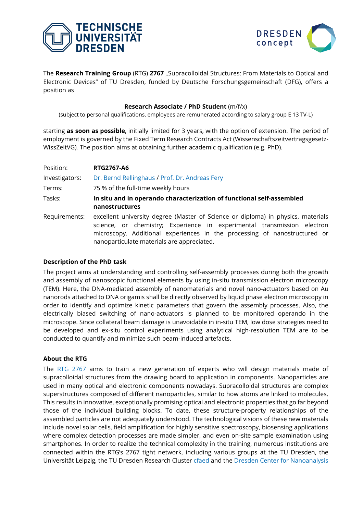



The Research Training Group (RTG) 2767 "Supracolloidal Structures: From Materials to Optical and Electronic Devices" of TU Dresden, funded by Deutsche Forschungsgemeinschaft (DFG), offers a position as

# **Research Associate / PhD Student** (m/f/x)

(subject to personal qualifications, employees are remunerated according to salary group E 13 TV-L)

starting **as soon as possible**, initially limited for 3 years, with the option of extension. The period of employment is governed by the Fixed Term Research Contracts Act (Wissenschaftszeitvertragsgesetz-WissZeitVG)*.* The position aims at obtaining further academic qualification (e.g. PhD).

| Position:      | <b>RTG2767-A6</b>                                                                                                                                                                                                                                                                      |
|----------------|----------------------------------------------------------------------------------------------------------------------------------------------------------------------------------------------------------------------------------------------------------------------------------------|
| Investigators: | Dr. Bernd Rellinghaus / Prof. Dr. Andreas Fery                                                                                                                                                                                                                                         |
| Terms:         | 75 % of the full-time weekly hours                                                                                                                                                                                                                                                     |
| Tasks:         | In situ and in operando characterization of functional self-assembled                                                                                                                                                                                                                  |
|                | nanostructures                                                                                                                                                                                                                                                                         |
| Requirements:  | excellent university degree (Master of Science or diploma) in physics, materials<br>science, or chemistry; Experience in experimental transmission electron<br>microscopy. Additional experiences in the processing of nanostructured or<br>nanoparticulate materials are appreciated. |

# **Description of the PhD task**

The project aims at understanding and controlling self-assembly processes during both the growth and assembly of nanoscopic functional elements by using in-situ transmission electron microscopy (TEM). Here, the DNA-mediated assembly of nanomaterials and novel nano-actuators based on Au nanorods attached to DNA origamis shall be directly observed by liquid phase electron microscopy in order to identify and optimize kinetic parameters that govern the assembly processes. Also, the electrically biased switching of nano-actuators is planned to be monitored operando in the microscope. Since collateral beam damage is unavoidable in in-situ TEM, low dose strategies need to be developed and ex-situ control experiments using analytical high-resolution TEM are to be conducted to quantify and minimize such beam-induced artefacts.

# **About the RTG**

The [RTG 2767](https://grk2767.tu-dresden.de/) aims to train a new generation of experts who will design materials made of supracolloidal structures from the drawing board to application in components. Nanoparticles are used in many optical and electronic components nowadays. Supracolloidal structures are complex superstructures composed of different nanoparticles, similar to how atoms are linked to molecules. This results in innovative, exceptionally promising optical and electronic properties that go far beyond those of the individual building blocks. To date, these structure-property relationships of the assembled particles are not adequately understood. The technological visions of these new materials include novel solar cells, field amplification for highly sensitive spectroscopy, biosensing applications where complex detection processes are made simpler, and even on-site sample examination using smartphones. In order to realize the technical complexity in the training, numerous institutions are connected within the RTG's 2767 tight network, including various groups at the TU Dresden, the Universität Leipzig, the TU Dresden Research Cluster [cfaed](https://cfaed.tu-dresden.de/news) and the [Dresden Center for Nanoanalysis](https://cfaed.tu-dresden.de/dcn)